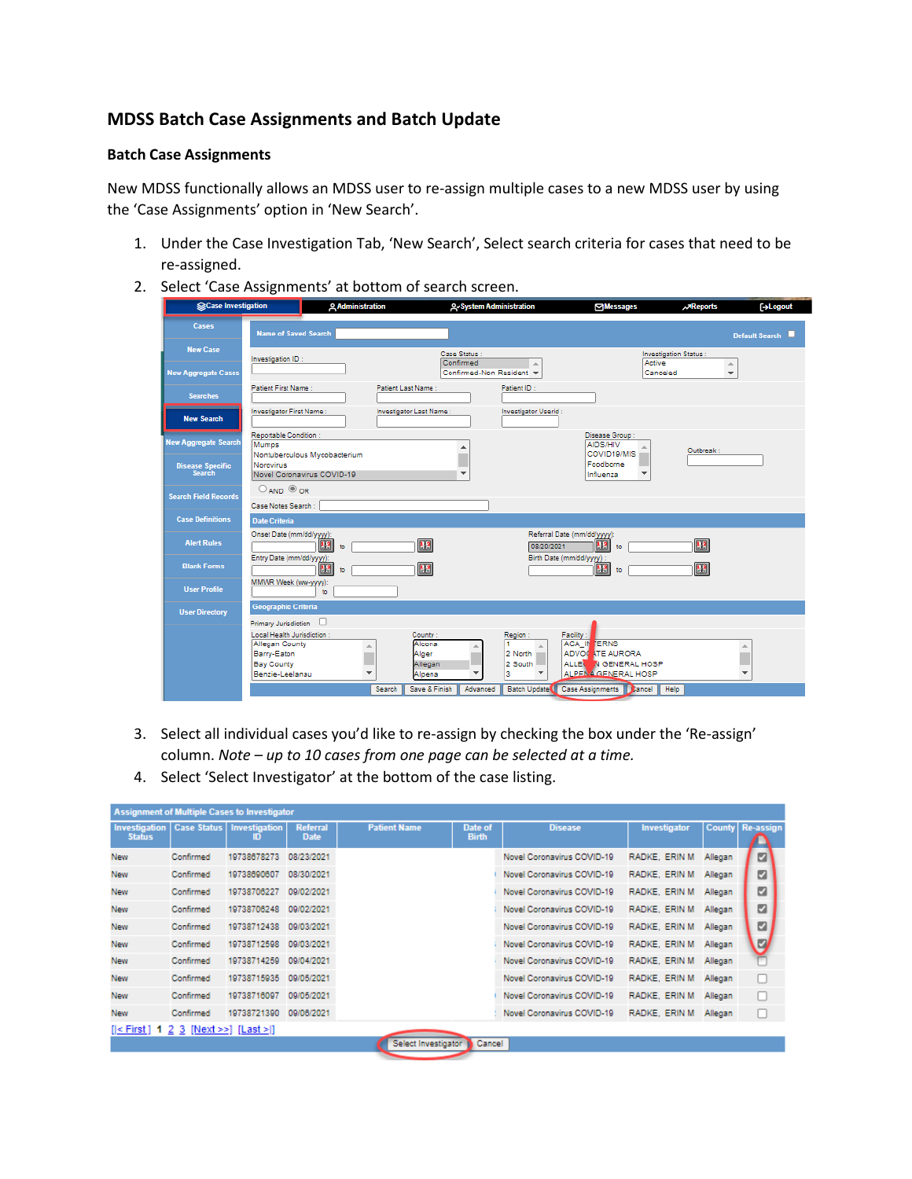## **MDSS Batch Case Assignments and Batch Update**

## **Batch Case Assignments**

New MDSS functionally allows an MDSS user to re-assign multiple cases to a new MDSS user by using the 'Case Assignments' option in 'New Search'.

- 1. Under the Case Investigation Tab, 'New Search', Select search criteria for cases that need to be re-assigned.
- 2. Select 'Case Assignments' at bottom of search screen.

| SCase Investigation                      | <b>Q</b> Administration                                         |                                                       | <b>Q</b> -System Administration |                         | <b>Messages</b>                                                      | <b>AReports</b>                          | <b>[→Logout</b>         |
|------------------------------------------|-----------------------------------------------------------------|-------------------------------------------------------|---------------------------------|-------------------------|----------------------------------------------------------------------|------------------------------------------|-------------------------|
| Cases                                    | <b>Name of Saved Search</b>                                     |                                                       |                                 |                         |                                                                      |                                          | <b>Default Search</b>   |
| <b>New Case</b>                          | Investigation ID:                                               |                                                       | Case Status:<br>Confirmed       | A.                      | Active                                                               | <b>Investigation Status:</b><br>$\Delta$ |                         |
| <b>New Aggregate Cases</b>               |                                                                 |                                                       | Confirmed-Non Resident v        |                         |                                                                      | Canceled<br>$\overline{\mathbf{v}}$      |                         |
| <b>Searches</b>                          | Patient First Name:                                             | Patient Last Name:                                    |                                 | Patient ID:             |                                                                      |                                          |                         |
| <b>New Search</b>                        | Investigator First Name:                                        | Investigator Last Name:                               |                                 | Investigator Userid:    |                                                                      |                                          |                         |
| New Aggregate Search                     | Reportable Condition :<br>Mumos<br>Nontuberculous Mycobacterium |                                                       |                                 |                         | Disease Group:<br><b>AIDS/HIV</b><br>COVID19/MIS                     | Outbreak:                                |                         |
| <b>Disease Specific</b><br><b>Search</b> | <b>Norovirus</b><br>Novel Coronavirus COVID-19                  |                                                       |                                 |                         | Foodborne<br>Influenza<br>$\overline{\phantom{a}}$                   |                                          |                         |
| <b>Search Field Records</b>              | $O$ AND $O$ OR<br>Case Notes Search :                           |                                                       |                                 |                         |                                                                      |                                          |                         |
| <b>Case Definitions</b>                  | <b>Date Criteria</b>                                            |                                                       |                                 |                         |                                                                      |                                          |                         |
| <b>Alert Rules</b>                       | Onset Date (mm/dd/yyyy):<br>蔨<br>to                             | $\overline{13}$                                       |                                 | 08/20/2021              | Referral Date (mm/dd/yyyy):<br>盟<br>to                               | 13                                       |                         |
| <b>Blank Forms</b>                       | Entry Date (mm/dd/yyyy):<br> 13 <br>to                          | 13                                                    |                                 |                         | Birth Date (mm/dd/yyyy):<br>13<br>to                                 | 13                                       |                         |
| <b>User Profile</b>                      | MMWR Week (ww-yyyy):<br>to.                                     |                                                       |                                 |                         |                                                                      |                                          |                         |
| <b>User Directory</b>                    | <b>Geographic Criteria</b><br>Primary Jurisdiction              |                                                       |                                 |                         |                                                                      |                                          |                         |
|                                          | Local Health Jurisdiction:<br>Allegan County                    | County:<br>Alcona<br>A                                |                                 | Region:                 | Facility:<br><b>ACA IN TERNS</b>                                     |                                          | 盀                       |
|                                          | Barry-Eaton<br><b>Bay County</b><br>Benzie-Leelanau             | Alger<br>Allegan<br>$\overline{\mathbf{v}}$<br>Alpena | ٠                               | 2 North<br>2 South<br>з | <b>ADVOCATE AURORA</b><br>ALLE N GENERAL HOSP<br>ALPENA GENERAL HOSP |                                          | $\overline{\mathbf{v}}$ |
|                                          |                                                                 | Save & Finish<br>Search                               | Advanced                        | <b>Batch Update</b>     | Case Assignments   Lancel                                            | Help                                     |                         |

- 3. Select all individual cases you'd like to re-assign by checking the box under the 'Re-assign' column. *Note – up to 10 cases from one page can be selected at a time.*
- 4. Select 'Select Investigator' at the bottom of the case listing.

| <b>Assignment of Multiple Cases to Investigator</b> |           |                                          |                                |                     |                         |                            |                |         |                         |  |  |
|-----------------------------------------------------|-----------|------------------------------------------|--------------------------------|---------------------|-------------------------|----------------------------|----------------|---------|-------------------------|--|--|
| Investigation<br><b>Status</b>                      |           | <b>Case Status   Investigation</b><br>חו | <b>Referral</b><br><b>Date</b> | <b>Patient Name</b> | Date of<br><b>Birth</b> | <b>Disease</b>             | Investigator   |         | <b>County Re-assign</b> |  |  |
| <b>New</b>                                          | Confirmed | 19738678273                              | 08/23/2021                     |                     |                         | Novel Coronavirus COVID-19 | RADKE, ERIN M. | Allegan | ø                       |  |  |
| <b>New</b>                                          | Confirmed | 19738690607                              | 08/30/2021                     |                     |                         | Novel Coronavirus COVID-19 | RADKE, ERIN M. | Allegan | ☑                       |  |  |
| <b>New</b>                                          | Confirmed | 19738706227                              | 09/02/2021                     |                     |                         | Novel Coronavirus COVID-19 | RADKE, ERIN M  | Allegan | ø                       |  |  |
| <b>New</b>                                          | Confirmed | 19738706248                              | 09/02/2021                     |                     |                         | Novel Coronavirus COVID-19 | RADKE, ERIN M  | Allegan | ø                       |  |  |
| <b>New</b>                                          | Confirmed | 19738712438                              | 09/03/2021                     |                     |                         | Novel Coronavirus COVID-19 | RADKE, ERIN M  | Allegan | ø                       |  |  |
| <b>New</b>                                          | Confirmed | 19738712598                              | 09/03/2021                     |                     |                         | Novel Coronavirus COVID-19 | RADKE, ERIN M  | Allegan | 9                       |  |  |
| <b>New</b>                                          | Confirmed | 19738714259                              | 09/04/2021                     |                     |                         | Novel Coronavirus COVID-19 | RADKE, ERIN M  | Allegan |                         |  |  |
| <b>New</b>                                          | Confirmed | 19738715935                              | 09/05/2021                     |                     |                         | Novel Coronavirus COVID-19 | RADKE, ERIN M  | Allegan | Е                       |  |  |
| <b>New</b>                                          | Confirmed | 19738716097                              | 09/05/2021                     |                     |                         | Novel Coronavirus COVID-19 | RADKE, ERIN M  | Allegan | L                       |  |  |
| <b>New</b>                                          | Confirmed | 19738721390                              | 09/06/2021                     |                     |                         | Novel Coronavirus COVID-19 | RADKE, ERIN M  | Allegan | L                       |  |  |
| $[ \leq$ First ] 1 2 3 [Next >>] [Last > ]          |           |                                          |                                |                     |                         |                            |                |         |                         |  |  |
|                                                     |           |                                          |                                | Select Investigator | Cancel                  |                            |                |         |                         |  |  |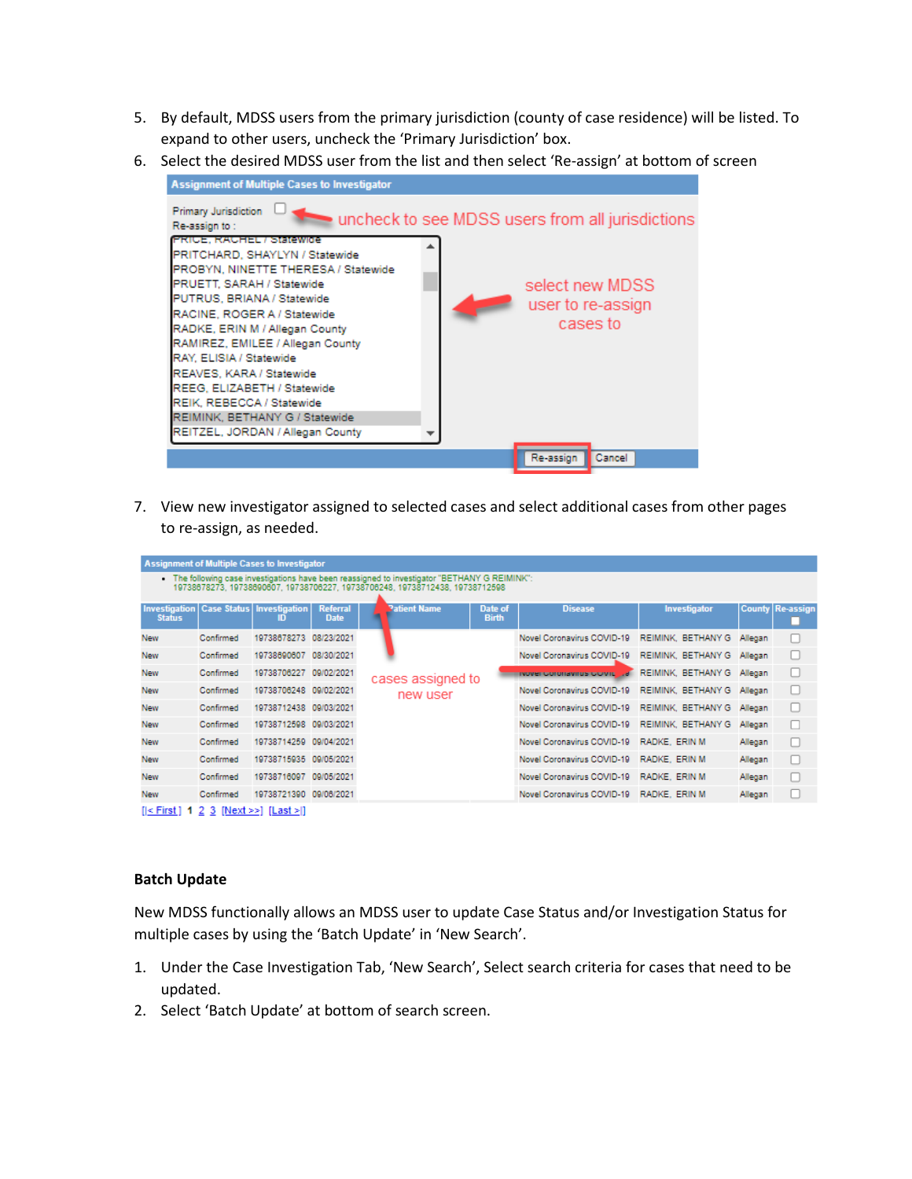- 5. By default, MDSS users from the primary jurisdiction (county of case residence) will be listed. To expand to other users, uncheck the 'Primary Jurisdiction' box.
- 6. Select the desired MDSS user from the list and then select 'Re-assign' at bottom of screen



7. View new investigator assigned to selected cases and select additional cases from other pages to re-assign, as needed.

|                                                                                                                                                                               | <b>Assignment of Multiple Cases to Investigator</b> |                                                   |                                |                   |                     |                         |                                                         |                    |         |                         |  |
|-------------------------------------------------------------------------------------------------------------------------------------------------------------------------------|-----------------------------------------------------|---------------------------------------------------|--------------------------------|-------------------|---------------------|-------------------------|---------------------------------------------------------|--------------------|---------|-------------------------|--|
| . The following case investigations have been reassigned to investigator "BETHANY G REIMINK":<br>19738678273, 19738690607, 19738706227, 19738706248, 19738712438, 19738712598 |                                                     |                                                   |                                |                   |                     |                         |                                                         |                    |         |                         |  |
| <b>Status</b>                                                                                                                                                                 |                                                     | Investigation   Case Status   Investigation<br>ID | <b>Referral</b><br><b>Date</b> |                   | <b>Patient Name</b> | Date of<br><b>Birth</b> | <b>Disease</b>                                          | Investigator       |         | <b>County Re-assign</b> |  |
| <b>New</b>                                                                                                                                                                    | Confirmed                                           | 19738678273 08/23/2021                            |                                |                   |                     |                         | Novel Coronavirus COVID-19 REIMINK, BETHANY G           |                    | Allegan |                         |  |
| <b>New</b>                                                                                                                                                                    | Confirmed                                           | 19738690607 08/30/2021                            |                                | cases assigned to |                     |                         | Novel Coronavirus COVID-19                              | REIMINK, BETHANY G | Allegan | L                       |  |
| <b>New</b>                                                                                                                                                                    | Confirmed                                           | 19738706227 09/02/2021                            |                                |                   |                     |                         | ivover coronavirus covid "a REIMINK, BETHANY G. Allegan |                    |         | L                       |  |
| <b>New</b>                                                                                                                                                                    | Confirmed                                           | 19738706248 09/02/2021                            |                                |                   | new user            |                         | Novel Coronavirus COVID-19                              | REIMINK, BETHANY G | Allegan | c                       |  |
| <b>New</b>                                                                                                                                                                    | Confirmed                                           | 19738712438 09/03/2021                            |                                |                   |                     |                         | Novel Coronavirus COVID-19 REIMINK, BETHANY G           |                    | Allegan | L                       |  |
| <b>New</b>                                                                                                                                                                    | Confirmed                                           | 19738712598 09/03/2021                            |                                |                   |                     |                         | Novel Coronavirus COVID-19                              | REIMINK, BETHANY G | Allegan | г                       |  |
| <b>New</b>                                                                                                                                                                    | Confirmed                                           | 19738714259 09/04/2021                            |                                |                   |                     |                         | Novel Coronavirus COVID-19 RADKE, ERIN M                |                    | Allegan | г                       |  |
| New                                                                                                                                                                           | Confirmed                                           | 19738715935 09/05/2021                            |                                |                   |                     |                         | Novel Coronavirus COVID-19 RADKE, ERIN M.               |                    | Allegan | с                       |  |
| <b>New</b>                                                                                                                                                                    | Confirmed                                           | 19738716097 09/05/2021                            |                                |                   |                     |                         | Novel Coronavirus COVID-19 RADKE, ERIN M.               |                    | Allegan | c                       |  |
| <b>New</b>                                                                                                                                                                    | Confirmed                                           | 19738721390 09/08/2021                            |                                |                   |                     |                         | Novel Coronavirus COVID-19 RADKE, ERIN M                |                    | Allegan | ∟                       |  |
| $[ \leq$ First ] 1 2 3 [Next >>] [Last >]                                                                                                                                     |                                                     |                                                   |                                |                   |                     |                         |                                                         |                    |         |                         |  |

## **Batch Update**

New MDSS functionally allows an MDSS user to update Case Status and/or Investigation Status for multiple cases by using the 'Batch Update' in 'New Search'.

- 1. Under the Case Investigation Tab, 'New Search', Select search criteria for cases that need to be updated.
- 2. Select 'Batch Update' at bottom of search screen.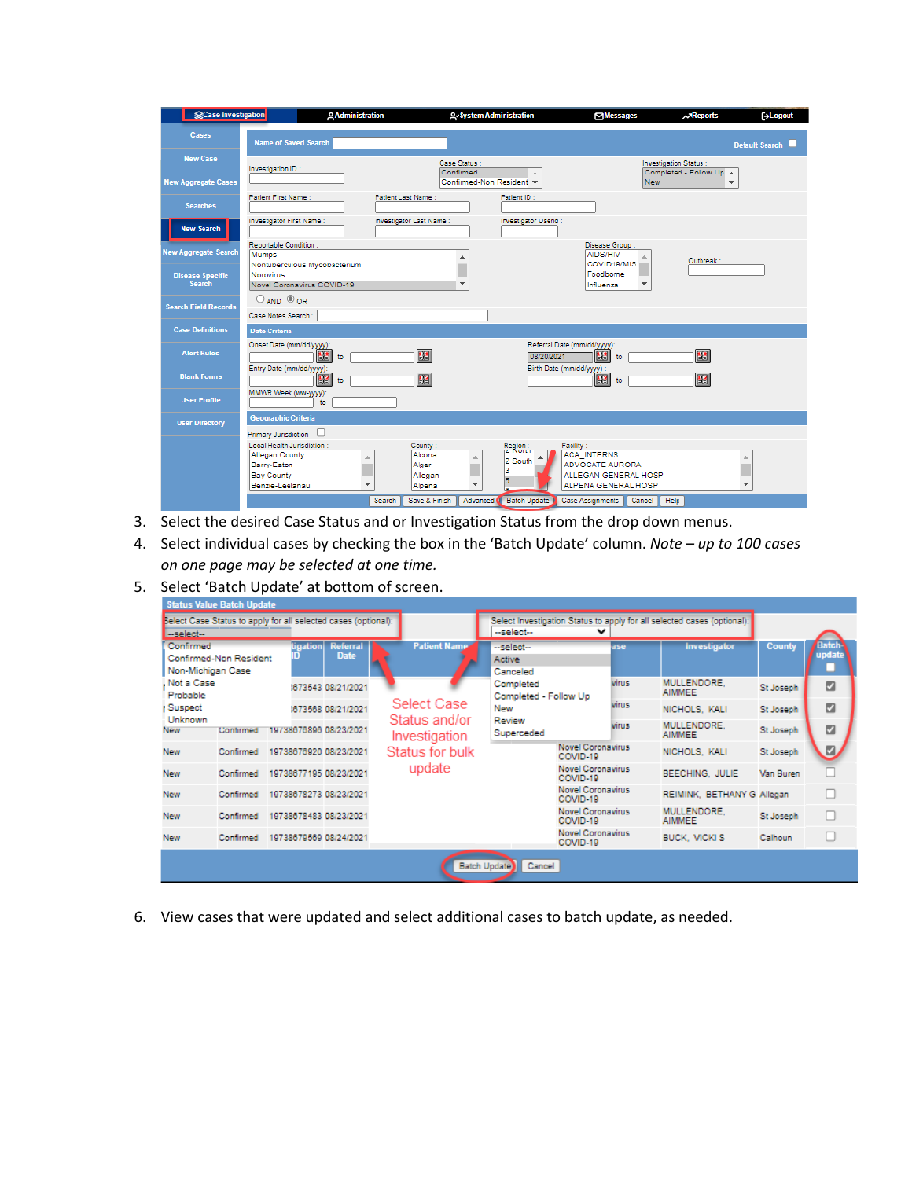| Case Investigation                       | <b>Q Administration</b>                                                                                                               |                                                                  | <b>2-System Administration</b>               | <b>Messages</b>                                                                                   | <b>AReports</b><br><b>G+Logout</b>                      |  |  |
|------------------------------------------|---------------------------------------------------------------------------------------------------------------------------------------|------------------------------------------------------------------|----------------------------------------------|---------------------------------------------------------------------------------------------------|---------------------------------------------------------|--|--|
| Cases                                    | <b>Name of Saved Search</b>                                                                                                           |                                                                  |                                              |                                                                                                   | <b>Default Search</b>                                   |  |  |
| <b>New Case</b>                          | Investigation ID:                                                                                                                     | Case Status :<br>Confirmed                                       | ×                                            |                                                                                                   | <b>Investigation Status:</b><br>Completed - Follow Up A |  |  |
| <b>New Aggregate Cases</b>               |                                                                                                                                       |                                                                  | Confirmed-Non Resident =                     | New <sub></sub>                                                                                   | $\overline{\mathbf{v}}$                                 |  |  |
| <b>Searches</b>                          | <b>Patient First Name:</b>                                                                                                            | Patient Last Name:                                               | Patient ID:                                  |                                                                                                   |                                                         |  |  |
| <b>New Search</b>                        | Investigator First Name:                                                                                                              | Investigator Last Name:                                          | Investigator Userid:                         |                                                                                                   |                                                         |  |  |
| <b>New Aggregate Search</b>              | Reportable Condition:<br>Mumps<br>Nontuberculous Mycobacterium                                                                        | ۸                                                                |                                              | Disease Group<br><b>AIDS/HIV</b><br>COVID19/MIS                                                   | Outbreak:                                               |  |  |
| <b>Disease Specific</b><br><b>Search</b> | Norovirus<br>Novel Coronavirus COVID-19                                                                                               | $\overline{\mathbf{v}}$                                          |                                              | Foodborne<br>Influenza                                                                            |                                                         |  |  |
| <b>Search Field Records</b>              | $O$ AND $O$ OR<br>Case Notes Search :                                                                                                 |                                                                  |                                              |                                                                                                   |                                                         |  |  |
| <b>Case Definitions</b>                  | <b>Date Criteria</b>                                                                                                                  |                                                                  |                                              |                                                                                                   |                                                         |  |  |
| <b>Alert Rules</b>                       | Onset Date (mm/dd/yyyy):<br>13<br>to                                                                                                  | 13                                                               | 08/20/2021                                   | Referral Date (mm/dd/yyyy):<br>13<br>to                                                           | 13                                                      |  |  |
| <b>Blank Forms</b>                       | Entry Date (mm/dd/yyyy):<br>43<br>to                                                                                                  | 13                                                               |                                              | Birth Date (mm/dd/yyyy) :<br>膃<br>to                                                              | $\mathbf{H}$                                            |  |  |
| <b>User Profile</b>                      | MMWR Week (ww-yyyy):<br>to                                                                                                            |                                                                  |                                              |                                                                                                   |                                                         |  |  |
| <b>User Directory</b>                    | <b>Geographic Criteria</b><br>Primary Jurisdiction U                                                                                  |                                                                  |                                              |                                                                                                   |                                                         |  |  |
|                                          | Local Health Jurisdiction:<br>Allegan County<br>A.<br>Barry-Eaton<br><b>Bay County</b><br>Benzie-Leelanau<br>$\overline{\phantom{a}}$ | County:<br>Alcona<br>Alger<br>Allegan<br>Alpena<br>Save & Finish | Region:<br>2 South<br>з<br>5<br>$\mathbf{v}$ | Facility:<br><b>ACA INTERNS</b><br>ADVOCATE AURORA<br>ALLEGAN GENERAL HOSP<br>ALPENA GENERAL HOSP | 盀<br>$\mathbf{v}$                                       |  |  |
|                                          |                                                                                                                                       | Search                                                           | Advanced <b>O</b>                            | Batch Update Case Assignments<br>Cancel                                                           | Help                                                    |  |  |

- 3. Select the desired Case Status and or Investigation Status from the drop down menus.
- 4. Select individual cases by checking the box in the 'Batch Update' column. *Note – up to 100 cases on one page may be selected at one time.*
- 5. Select 'Batch Update' at bottom of screen.

| --select-                      | Belect Case Status to apply for all selected cases (optional): |  |                    |                                |                     | --select--                           | $\checkmark$             | Select Investigation Status to apply for all selected cases (optional): |               |                        |
|--------------------------------|----------------------------------------------------------------|--|--------------------|--------------------------------|---------------------|--------------------------------------|--------------------------|-------------------------------------------------------------------------|---------------|------------------------|
| Confirmed<br>Non-Michigan Case | Confirmed-Non Resident                                         |  | tigation           | <b>Referral</b><br><b>Date</b> | <b>Patient Name</b> | --select--<br>Active<br>Canceled     | ase                      | <b>Investigator</b>                                                     | <b>County</b> | Batch<br><b>update</b> |
| Not a Case<br>Probable         |                                                                |  |                    | 1673543 08/21/2021             |                     | Completed<br>Completed - Follow Up   | virus                    | MULLENDORE.<br><b>AIMMEE</b>                                            | St Joseph     | ø                      |
| Suspect<br>Unknown             |                                                                |  | 1673568 08/21/2021 | Select Case<br>Status and/or   | New<br>Review       | <b>Virus</b>                         | NICHOLS, KALI            | St Joseph                                                               | ø             |                        |
| New                            | Contirmed                                                      |  |                    | 19738676896 08/23/2021         | Investigation       | Superceded                           | virus                    | MULLENDORE.<br><b>AIMMEE</b>                                            | St Joseph     | ø                      |
| New                            | Confirmed                                                      |  |                    | 19738676920 08/23/2021         | Status for bulk     | <b>Novel Coronavirus</b><br>COVID-19 |                          | NICHOLS, KALI                                                           | St Joseph     | ø                      |
| New                            | Confirmed                                                      |  |                    | 19738677195 08/23/2021         | update              | COVID-19                             | <b>Novel Coronavirus</b> | BEECHING, JULIE                                                         | Van Buren     |                        |
| <b>New</b>                     | Confirmed                                                      |  |                    | 19738678273 08/23/2021         |                     | <b>Novel Coronavirus</b><br>COVID-19 |                          | REIMINK, BETHANY G Allegan                                              |               |                        |
| <b>New</b>                     | Confirmed                                                      |  |                    | 19738678483 08/23/2021         |                     | <b>Novel Coronavirus</b><br>COVID-19 |                          | MULLENDORE.<br><b>AIMMEE</b>                                            | St Joseph     |                        |
| <b>New</b>                     | Confirmed                                                      |  |                    | 19738679569 08/24/2021         |                     | <b>Novel Coronavirus</b><br>COVID-19 |                          | <b>BUCK, VICKI S</b>                                                    | Calhoun       |                        |

6. View cases that were updated and select additional cases to batch update, as needed.